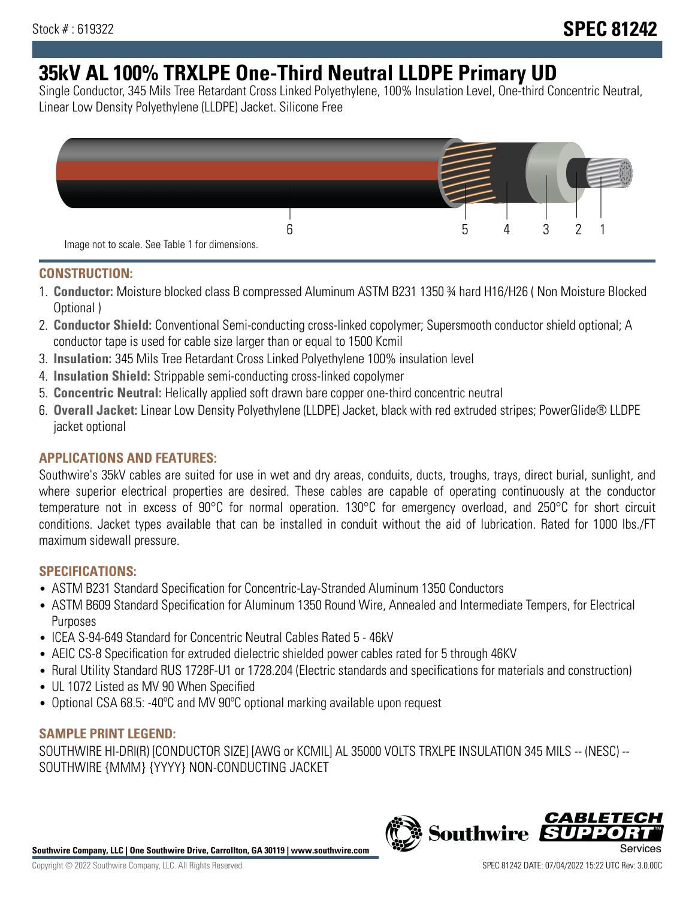# **35kV AL 100% TRXLPE One-Third Neutral LLDPE Primary UD**

Single Conductor, 345 Mils Tree Retardant Cross Linked Polyethylene, 100% Insulation Level, One-third Concentric Neutral, Linear Low Density Polyethylene (LLDPE) Jacket. Silicone Free



### **CONSTRUCTION:**

- 1. **Conductor:** Moisture blocked class B compressed Aluminum ASTM B231 1350 ¾ hard H16/H26 ( Non Moisture Blocked Optional )
- 2. **Conductor Shield:** Conventional Semi-conducting cross-linked copolymer; Supersmooth conductor shield optional; A conductor tape is used for cable size larger than or equal to 1500 Kcmil
- 3. **Insulation:** 345 Mils Tree Retardant Cross Linked Polyethylene 100% insulation level
- 4. **Insulation Shield:** Strippable semi-conducting cross-linked copolymer
- 5. **Concentric Neutral:** Helically applied soft drawn bare copper one-third concentric neutral
- 6. **Overall Jacket:** Linear Low Density Polyethylene (LLDPE) Jacket, black with red extruded stripes; PowerGlide® LLDPE jacket optional

## **APPLICATIONS AND FEATURES:**

Southwire's 35kV cables are suited for use in wet and dry areas, conduits, ducts, troughs, trays, direct burial, sunlight, and where superior electrical properties are desired. These cables are capable of operating continuously at the conductor temperature not in excess of 90°C for normal operation. 130°C for emergency overload, and 250°C for short circuit conditions. Jacket types available that can be installed in conduit without the aid of lubrication. Rated for 1000 lbs./FT maximum sidewall pressure.

## **SPECIFICATIONS:**

- ASTM B231 Standard Specification for Concentric-Lay-Stranded Aluminum 1350 Conductors
- ASTM B609 Standard Specification for Aluminum 1350 Round Wire, Annealed and Intermediate Tempers, for Electrical Purposes
- ICEA S-94-649 Standard for Concentric Neutral Cables Rated 5 46kV
- AEIC CS-8 Specification for extruded dielectric shielded power cables rated for 5 through 46KV
- Rural Utility Standard RUS 1728F-U1 or 1728.204 (Electric standards and specifications for materials and construction)
- UL 1072 Listed as MV 90 When Specified
- Optional CSA 68.5: -40ºC and MV 90ºC optional marking available upon request

#### **SAMPLE PRINT LEGEND:**

SOUTHWIRE HI-DRI(R) [CONDUCTOR SIZE] [AWG or KCMIL] AL 35000 VOLTS TRXLPE INSULATION 345 MILS -- (NESC) -- SOUTHWIRE {MMM} {YYYY} NON-CONDUCTING JACKET

**Southwire Company, LLC | One Southwire Drive, Carrollton, GA 30119 | www.southwire.com**

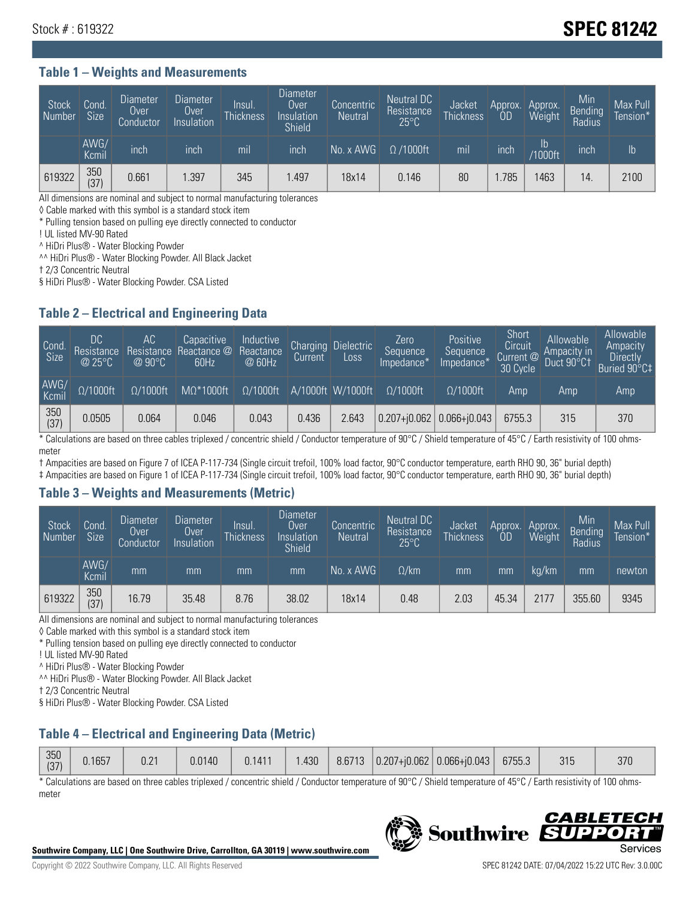## Stock # : 619322 **SPEC 81242**

#### **Table 1 – Weights and Measurements**

| Stock<br>Number | Cond<br>Size <sup>'</sup> | <b>Diameter</b><br>Over<br>Conductor | <b>Diameter</b><br>Over<br>Insulation | Insul.<br><b>Thickness</b> | Diameter<br>Over<br>Insulation<br><b>Shield</b> | Concentric<br><b>Neutral</b> | Neutral DC<br>Resistance<br>$25^{\circ}$ C | Jacket<br><b>Thickness</b> | Approx.<br>OD | Approx.<br>Weight | Min<br><b>Bending</b><br>Radius | Max Pull<br>Tension* |
|-----------------|---------------------------|--------------------------------------|---------------------------------------|----------------------------|-------------------------------------------------|------------------------------|--------------------------------------------|----------------------------|---------------|-------------------|---------------------------------|----------------------|
|                 | AWG/<br>Kcmil             | inch                                 | inch                                  | mil                        | inch                                            | No. x AWG                    | $\Omega$ /1000ft                           | mil                        | inch          | Ib<br>/1000ft     | inch                            | $\mathsf{lb}$        |
| 619322          | 350<br>(37)               | 0.661                                | .397                                  | 345                        | .497                                            | 18x14                        | 0.146                                      | 80                         | .785          | 463               | 14                              | 2100                 |

All dimensions are nominal and subject to normal manufacturing tolerances

◊ Cable marked with this symbol is a standard stock item

\* Pulling tension based on pulling eye directly connected to conductor

! UL listed MV-90 Rated

^ HiDri Plus® - Water Blocking Powder

^^ HiDri Plus® - Water Blocking Powder. All Black Jacket

† 2/3 Concentric Neutral

§ HiDri Plus® - Water Blocking Powder. CSA Listed

#### **Table 2 – Electrical and Engineering Data**

| Cond<br>Size  | DC<br>Resistance<br>@25°C | АC<br>Resistance<br>$@90^{\circ}C$ | Capacitive<br>Reactance @<br>60Hz | Inductive<br>Reactance<br>@ 60Hz | Charging<br>Current | <b>Dielectric</b><br>Loss | Zero<br>Sequence<br>Impedance* | Positive<br>Sequence<br>Impedance <sup>®</sup> | Short<br>Circuit<br>Current <sup>@</sup><br>30 Cycle | Allowable<br>Ampacity in<br>Duct 90°C1 | Allowable<br>Ampacity<br>Directly<br>Buried 90°C‡ |
|---------------|---------------------------|------------------------------------|-----------------------------------|----------------------------------|---------------------|---------------------------|--------------------------------|------------------------------------------------|------------------------------------------------------|----------------------------------------|---------------------------------------------------|
| AWG/<br>Kcmil | $\Omega/1000$ ft          | $\Omega/1000$ ft                   | $M\Omega^*1000$ ft                | $\Omega/1000$ ft                 |                     | A/1000ft W/1000ft         | $\Omega/1000$ ft               | $\Omega$ /1000ft                               | Amp                                                  | Amp                                    | Amp                                               |
| 350<br>(37)   | 0.0505                    | 0.064                              | 0.046                             | 0.043                            | 0.436               | 2.643                     | $0.207 + 0.062$ 0.066+ $0.043$ |                                                | 6755.3                                               | 315                                    | 370                                               |

\* Calculations are based on three cables triplexed / concentric shield / Conductor temperature of 90°C / Shield temperature of 45°C / Earth resistivity of 100 ohmsmeter

† Ampacities are based on Figure 7 of ICEA P-117-734 (Single circuit trefoil, 100% load factor, 90°C conductor temperature, earth RHO 90, 36" burial depth)

‡ Ampacities are based on Figure 1 of ICEA P-117-734 (Single circuit trefoil, 100% load factor, 90°C conductor temperature, earth RHO 90, 36" burial depth)

#### **Table 3 – Weights and Measurements (Metric)**

| Stock<br>Number | Cond.<br>Size <sup>1</sup> | <b>Diameter</b><br><b>Over</b><br>Conductor | <b>Diameter</b><br><b>Over</b><br>Insulation | Insul.<br><b>Thickness</b> | <b>Diameter</b><br>Over<br>Insulation<br><b>Shield</b> | Concentric<br><b>Neutral</b> | Neutral DC<br>Resistance<br>$25^{\circ}$ C | Jacket<br><b>Thickness</b> | Approx.<br>ΟD | Approx.<br>Weight | Min<br>Bending<br>Radius | Max Pull<br>Tension* |
|-----------------|----------------------------|---------------------------------------------|----------------------------------------------|----------------------------|--------------------------------------------------------|------------------------------|--------------------------------------------|----------------------------|---------------|-------------------|--------------------------|----------------------|
|                 | AWG/<br>Kcmil              | mm                                          | mm                                           | mm                         | mm                                                     | No. x AWG                    | $\Omega$ /km                               | mm                         | mm            | ka/km             | mm                       | newton               |
| 619322          | 350<br>(37)                | 16.79                                       | 35.48                                        | 8.76                       | 38.02                                                  | 18x14                        | 0.48                                       | 2.03                       | 45.34         | 2177              | 355.60                   | 9345                 |

All dimensions are nominal and subject to normal manufacturing tolerances

◊ Cable marked with this symbol is a standard stock item

\* Pulling tension based on pulling eye directly connected to conductor

! UL listed MV-90 Rated

^ HiDri Plus® - Water Blocking Powder

^^ HiDri Plus® - Water Blocking Powder. All Black Jacket

† 2/3 Concentric Neutral

§ HiDri Plus® - Water Blocking Powder. CSA Listed

## **Table 4 – Electrical and Engineering Data (Metric)**

| 350<br>(37) | J.1657 | 0.21 | 0.0140 | 0.1411 | .430 |  |  | $\mid$ 8.6713   0.207+j0.062   0.066+j0.043   $\mid$ | 6755.3 | 315 | 370 |
|-------------|--------|------|--------|--------|------|--|--|------------------------------------------------------|--------|-----|-----|
|-------------|--------|------|--------|--------|------|--|--|------------------------------------------------------|--------|-----|-----|

\* Calculations are based on three cables triplexed / concentric shield / Conductor temperature of 90°C / Shield temperature of 45°C / Earth resistivity of 100 ohmsmeter



**Southwire** 

*CABLE* 

БЕЛ